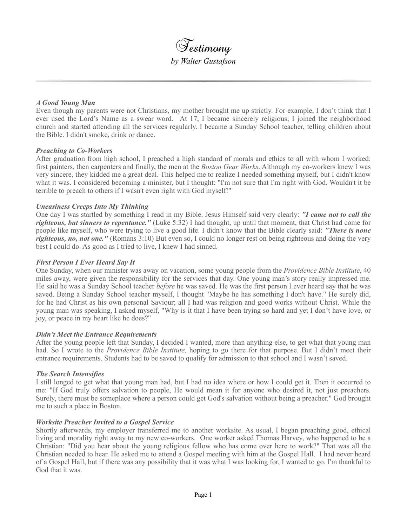

## *A Good Young Man*

Even though my parents were not Christians, my mother brought me up strictly. For example, I don't think that I ever used the Lord's Name as a swear word. At 17, I became sincerely religious; I joined the neighborhood church and started attending all the services regularly. I became a Sunday School teacher, telling children about the Bible. I didn't smoke, drink or dance.

## *Preaching to Co-Workers*

After graduation from high school, I preached a high standard of morals and ethics to all with whom I worked: first painters, then carpenters and finally, the men at the *Boston Gear Works*. Although my co-workers knew I was very sincere, they kidded me a great deal. This helped me to realize I needed something myself, but I didn't know what it was. I considered becoming a minister, but I thought: "I'm not sure that I'm right with God. Wouldn't it be terrible to preach to others if I wasn't even right with God myself!"

## *Uneasiness Creeps Into My Thinking*

One day I was startled by something I read in my Bible. Jesus Himself said very clearly: *"I came not to call the righteous, but sinners to repentance."* (Luke 5:32) I had thought, up until that moment, that Christ had come for people like myself, who were trying to live a good life. I didn't know that the Bible clearly said: *"There is none righteous, no, not one."* (Romans 3:10) But even so, I could no longer rest on being righteous and doing the very best I could do. As good as I tried to live, I knew I had sinned.

## *First Person I Ever Heard Say It*

One Sunday, when our minister was away on vacation, some young people from the *Providence Bible Institute*, 40 miles away, were given the responsibility for the services that day. One young man's story really impressed me. He said he was a Sunday School teacher *before* he was saved. He was the first person I ever heard say that he was saved. Being a Sunday School teacher myself, I thought "Maybe he has something I don't have." He surely did, for he had Christ as his own personal Saviour; all I had was religion and good works without Christ. While the young man was speaking, I asked myself, "Why is it that I have been trying so hard and yet I don't have love, or joy, or peace in my heart like he does?"

### *Didn't Meet the Entrance Requirements*

After the young people left that Sunday, I decided I wanted, more than anything else, to get what that young man had. So I wrote to the *Providence Bible Institute,* hoping to go there for that purpose. But I didn't meet their entrance requirements. Students had to be saved to qualify for admission to that school and I wasn't saved.

### *The Search Intensifies*

I still longed to get what that young man had, but I had no idea where or how I could get it. Then it occurred to me: "If God truly offers salvation to people, He would mean it for anyone who desired it, not just preachers. Surely, there must be someplace where a person could get God's salvation without being a preacher." God brought me to such a place in Boston.

### *Worksite Preacher Invited to a Gospel Service*

Shortly afterwards, my employer transferred me to another worksite. As usual, I began preaching good, ethical living and morality right away to my new co-workers. One worker asked Thomas Harvey, who happened to be a Christian: "Did you hear about the young religious fellow who has come over here to work?" That was all the Christian needed to hear. He asked me to attend a Gospel meeting with him at the Gospel Hall. I had never heard of a Gospel Hall, but if there was any possibility that it was what I was looking for, I wanted to go. I'm thankful to God that it was.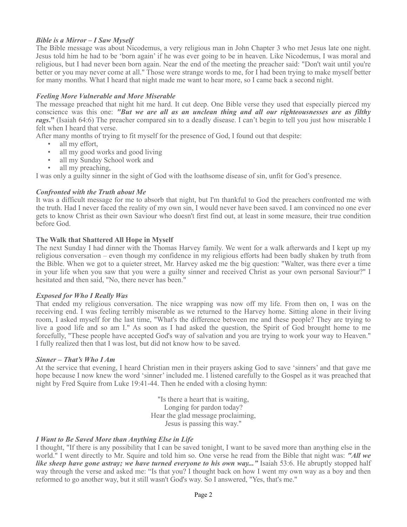# *Bible is a Mirror – I Saw Myself*

The Bible message was about Nicodemus, a very religious man in John Chapter 3 who met Jesus late one night. Jesus told him he had to be 'born again' if he was ever going to be in heaven. Like Nicodemus, I was moral and religious, but I had never been born again. Near the end of the meeting the preacher said: "Don't wait until you're better or you may never come at all." Those were strange words to me, for I had been trying to make myself better for many months. What I heard that night made me want to hear more, so I came back a second night.

## *Feeling More Vulnerable and More Miserable*

The message preached that night hit me hard. It cut deep. One Bible verse they used that especially pierced my conscience was this one: *"But we are all as an unclean thing and all our righteousnesses are as filthy rags***."** (Isaiah 64:6) The preacher compared sin to a deadly disease. I can't begin to tell you just how miserable I felt when I heard that verse.

After many months of trying to fit myself for the presence of God, I found out that despite:

- all my effort.
- all my good works and good living
- all my Sunday School work and
- all my preaching.

I was only a guilty sinner in the sight of God with the loathsome disease of sin, unfit for God's presence.

## *Confronted with the Truth about Me*

It was a difficult message for me to absorb that night, but I'm thankful to God the preachers confronted me with the truth. Had I never faced the reality of my own sin, I would never have been saved. I am convinced no one ever gets to know Christ as their own Saviour who doesn't first find out, at least in some measure, their true condition before God.

## **The Walk that Shattered All Hope in Myself**

The next Sunday I had dinner with the Thomas Harvey family. We went for a walk afterwards and I kept up my religious conversation – even though my confidence in my religious efforts had been badly shaken by truth from the Bible. When we got to a quieter street, Mr. Harvey asked me the big question: "Walter, was there ever a time in your life when you saw that you were a guilty sinner and received Christ as your own personal Saviour?" I hesitated and then said, "No, there never has been."

## *Exposed for Who I Really Was*

That ended my religious conversation. The nice wrapping was now off my life. From then on, I was on the receiving end. I was feeling terribly miserable as we returned to the Harvey home. Sitting alone in their living room, I asked myself for the last time, "What's the difference between me and these people? They are trying to live a good life and so am I." As soon as I had asked the question, the Spirit of God brought home to me forcefully, "These people have accepted God's way of salvation and you are trying to work your way to Heaven." I fully realized then that I was lost, but did not know how to be saved.

### *Sinner – That's Who I Am*

At the service that evening, I heard Christian men in their prayers asking God to save 'sinners' and that gave me hope because I now knew the word 'sinner' included me. I listened carefully to the Gospel as it was preached that night by Fred Squire from Luke 19:41-44. Then he ended with a closing hymn:

> "Is there a heart that is waiting, Longing for pardon today? Hear the glad message proclaiming, Jesus is passing this way."

### *I Want to Be Saved More than Anything Else in Life*

I thought, "If there is any possibility that I can be saved tonight, I want to be saved more than anything else in the world." I went directly to Mr. Squire and told him so. One verse he read from the Bible that night was: *"All we like sheep have gone astray; we have turned everyone to his own way...*" Isaiah 53:6. He abruptly stopped half way through the verse and asked me: "Is that you? I thought back on how I went my own way as a boy and then reformed to go another way, but it still wasn't God's way. So I answered, "Yes, that's me."